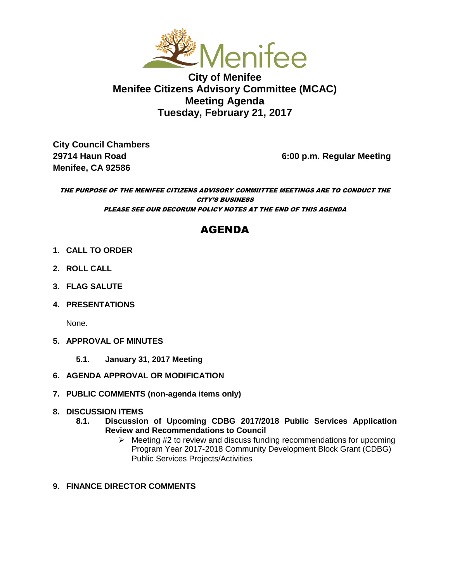

**City of Menifee Menifee Citizens Advisory Committee (MCAC) Meeting Agenda Tuesday, February 21, 2017**

**City Council Chambers Menifee, CA 92586** 

**29714 Haun Road 6:00 p.m. Regular Meeting**

#### THE PURPOSE OF THE MENIFEE CITIZENS ADVISORY COMMIITTEE MEETINGS ARE TO CONDUCT THE CITY'S BUSINESS PLEASE SEE OUR DECORUM POLICY NOTES AT THE END OF THIS AGENDA

# AGENDA

- **1. CALL TO ORDER**
- **2. ROLL CALL**
- **3. FLAG SALUTE**
- **4. PRESENTATIONS**

None.

- **5. APPROVAL OF MINUTES**
	- **5.1. January 31, 2017 Meeting**
- **6. AGENDA APPROVAL OR MODIFICATION**
- **7. PUBLIC COMMENTS (non-agenda items only)**

## **8. DISCUSSION ITEMS**

- **8.1. Discussion of Upcoming CDBG 2017/2018 Public Services Application Review and Recommendations to Council**
	- $\triangleright$  Meeting #2 to review and discuss funding recommendations for upcoming Program Year 2017-2018 Community Development Block Grant (CDBG) Public Services Projects/Activities
- **9. FINANCE DIRECTOR COMMENTS**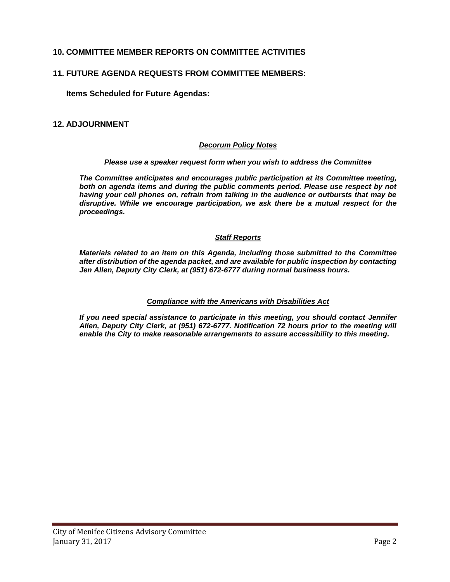## **10. COMMITTEE MEMBER REPORTS ON COMMITTEE ACTIVITIES**

#### **11. FUTURE AGENDA REQUESTS FROM COMMITTEE MEMBERS:**

**Items Scheduled for Future Agendas:**

#### **12. ADJOURNMENT**

#### *Decorum Policy Notes*

#### *Please use a speaker request form when you wish to address the Committee*

*The Committee anticipates and encourages public participation at its Committee meeting, both on agenda items and during the public comments period. Please use respect by not having your cell phones on, refrain from talking in the audience or outbursts that may be disruptive. While we encourage participation, we ask there be a mutual respect for the proceedings.*

#### *Staff Reports*

*Materials related to an item on this Agenda, including those submitted to the Committee after distribution of the agenda packet, and are available for public inspection by contacting Jen Allen, Deputy City Clerk, at (951) 672-6777 during normal business hours.* 

#### *Compliance with the Americans with Disabilities Act*

*If you need special assistance to participate in this meeting, you should contact Jennifer Allen, Deputy City Clerk, at (951) 672-6777. Notification 72 hours prior to the meeting will enable the City to make reasonable arrangements to assure accessibility to this meeting.*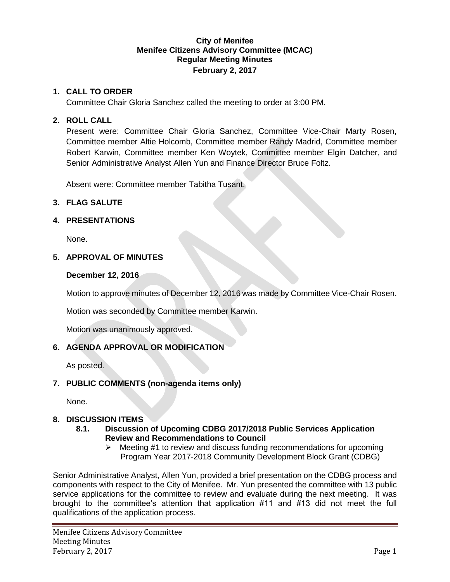## **City of Menifee Menifee Citizens Advisory Committee (MCAC) Regular Meeting Minutes February 2, 2017**

## **1. CALL TO ORDER**

Committee Chair Gloria Sanchez called the meeting to order at 3:00 PM.

## **2. ROLL CALL**

Present were: Committee Chair Gloria Sanchez, Committee Vice-Chair Marty Rosen, Committee member Altie Holcomb, Committee member Randy Madrid, Committee member Robert Karwin, Committee member Ken Woytek, Committee member Elgin Datcher, and Senior Administrative Analyst Allen Yun and Finance Director Bruce Foltz.

Absent were: Committee member Tabitha Tusant.

## **3. FLAG SALUTE**

## **4. PRESENTATIONS**

None.

## **5. APPROVAL OF MINUTES**

## **December 12, 2016**

Motion to approve minutes of December 12, 2016 was made by Committee Vice-Chair Rosen.

Motion was seconded by Committee member Karwin.

Motion was unanimously approved.

## **6. AGENDA APPROVAL OR MODIFICATION**

As posted.

## **7. PUBLIC COMMENTS (non-agenda items only)**

None.

## **8. DISCUSSION ITEMS**

## **8.1. Discussion of Upcoming CDBG 2017/2018 Public Services Application Review and Recommendations to Council**

 $\triangleright$  Meeting #1 to review and discuss funding recommendations for upcoming Program Year 2017-2018 Community Development Block Grant (CDBG)

Senior Administrative Analyst, Allen Yun, provided a brief presentation on the CDBG process and components with respect to the City of Menifee. Mr. Yun presented the committee with 13 public service applications for the committee to review and evaluate during the next meeting. It was brought to the committee's attention that application #11 and #13 did not meet the full qualifications of the application process.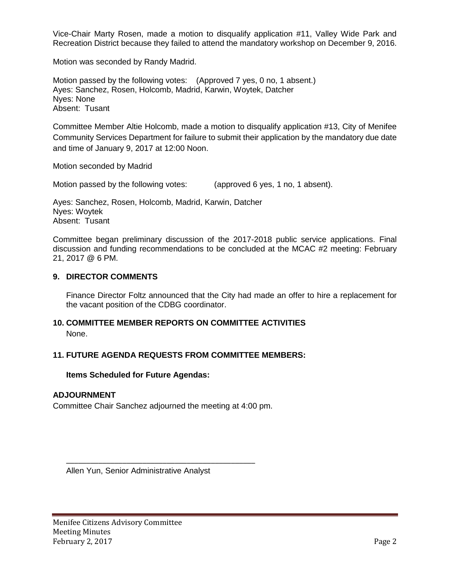Vice-Chair Marty Rosen, made a motion to disqualify application #11, Valley Wide Park and Recreation District because they failed to attend the mandatory workshop on December 9, 2016.

Motion was seconded by Randy Madrid.

Motion passed by the following votes: (Approved 7 yes, 0 no, 1 absent.) Ayes: Sanchez, Rosen, Holcomb, Madrid, Karwin, Woytek, Datcher Nyes: None Absent: Tusant

Committee Member Altie Holcomb, made a motion to disqualify application #13, City of Menifee Community Services Department for failure to submit their application by the mandatory due date and time of January 9, 2017 at 12:00 Noon.

Motion seconded by Madrid

Motion passed by the following votes: (approved 6 yes, 1 no, 1 absent).

Ayes: Sanchez, Rosen, Holcomb, Madrid, Karwin, Datcher Nyes: Woytek Absent: Tusant

Committee began preliminary discussion of the 2017-2018 public service applications. Final discussion and funding recommendations to be concluded at the MCAC #2 meeting: February 21, 2017 @ 6 PM.

#### **9. DIRECTOR COMMENTS**

Finance Director Foltz announced that the City had made an offer to hire a replacement for the vacant position of the CDBG coordinator.

#### **10. COMMITTEE MEMBER REPORTS ON COMMITTEE ACTIVITIES** None.

#### **11. FUTURE AGENDA REQUESTS FROM COMMITTEE MEMBERS:**

#### **Items Scheduled for Future Agendas:**

#### **ADJOURNMENT**

Committee Chair Sanchez adjourned the meeting at 4:00 pm.

\_\_\_\_\_\_\_\_\_\_\_\_\_\_\_\_\_\_\_\_\_\_\_\_\_\_\_\_\_\_\_\_\_\_\_\_\_\_\_\_\_\_\_\_\_\_\_

Allen Yun, Senior Administrative Analyst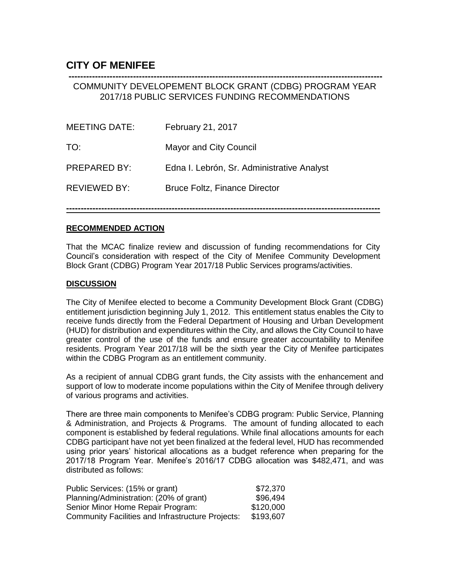# **CITY OF MENIFEE**

## **-----------------------------------------------------------------------------------------------------------** COMMUNITY DEVELOPEMENT BLOCK GRANT (CDBG) PROGRAM YEAR 2017/18 PUBLIC SERVICES FUNDING RECOMMENDATIONS

| <b>MEETING DATE:</b> | February 21, 2017                          |
|----------------------|--------------------------------------------|
| TO:                  | Mayor and City Council                     |
| PREPARED BY:         | Edna I. Lebrón, Sr. Administrative Analyst |
| <b>REVIEWED BY:</b>  | <b>Bruce Foltz, Finance Director</b>       |

**-----------------------------------------------------------------------------------------------------------**

#### **RECOMMENDED ACTION**

That the MCAC finalize review and discussion of funding recommendations for City Council's consideration with respect of the City of Menifee Community Development Block Grant (CDBG) Program Year 2017/18 Public Services programs/activities.

#### **DISCUSSION**

The City of Menifee elected to become a Community Development Block Grant (CDBG) entitlement jurisdiction beginning July 1, 2012. This entitlement status enables the City to receive funds directly from the Federal Department of Housing and Urban Development (HUD) for distribution and expenditures within the City, and allows the City Council to have greater control of the use of the funds and ensure greater accountability to Menifee residents. Program Year 2017/18 will be the sixth year the City of Menifee participates within the CDBG Program as an entitlement community.

As a recipient of annual CDBG grant funds, the City assists with the enhancement and support of low to moderate income populations within the City of Menifee through delivery of various programs and activities.

There are three main components to Menifee's CDBG program: Public Service, Planning & Administration, and Projects & Programs. The amount of funding allocated to each component is established by federal regulations. While final allocations amounts for each CDBG participant have not yet been finalized at the federal level, HUD has recommended using prior years' historical allocations as a budget reference when preparing for the 2017/18 Program Year. Menifee's 2016/17 CDBG allocation was \$482,471, and was distributed as follows:

| Public Services: (15% or grant)                   | \$72,370  |
|---------------------------------------------------|-----------|
| Planning/Administration: (20% of grant)           | \$96,494  |
| Senior Minor Home Repair Program:                 | \$120,000 |
| Community Facilities and Infrastructure Projects: | \$193,607 |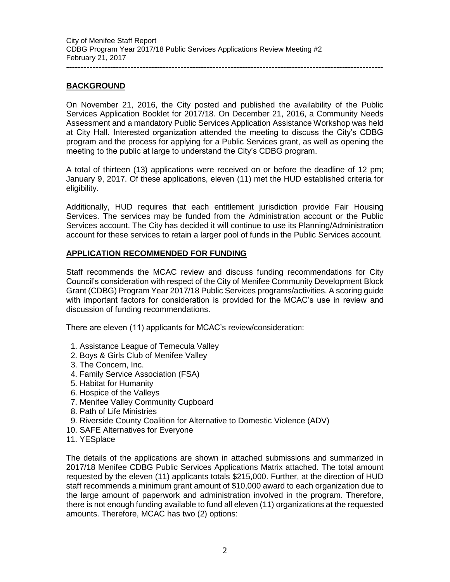## **BACKGROUND**

On November 21, 2016, the City posted and published the availability of the Public Services Application Booklet for 2017/18. On December 21, 2016, a Community Needs Assessment and a mandatory Public Services Application Assistance Workshop was held at City Hall. Interested organization attended the meeting to discuss the City's CDBG program and the process for applying for a Public Services grant, as well as opening the meeting to the public at large to understand the City's CDBG program.

A total of thirteen (13) applications were received on or before the deadline of 12 pm; January 9, 2017. Of these applications, eleven (11) met the HUD established criteria for eligibility.

Additionally, HUD requires that each entitlement jurisdiction provide Fair Housing Services. The services may be funded from the Administration account or the Public Services account. The City has decided it will continue to use its Planning/Administration account for these services to retain a larger pool of funds in the Public Services account.

## **APPLICATION RECOMMENDED FOR FUNDING**

Staff recommends the MCAC review and discuss funding recommendations for City Council's consideration with respect of the City of Menifee Community Development Block Grant (CDBG) Program Year 2017/18 Public Services programs/activities. A scoring guide with important factors for consideration is provided for the MCAC's use in review and discussion of funding recommendations.

There are eleven (11) applicants for MCAC's review/consideration:

- 1. Assistance League of Temecula Valley
- 2. Boys & Girls Club of Menifee Valley
- 3. The Concern, Inc.
- 4. Family Service Association (FSA)
- 5. Habitat for Humanity
- 6. Hospice of the Valleys
- 7. Menifee Valley Community Cupboard
- 8. Path of Life Ministries
- 9. Riverside County Coalition for Alternative to Domestic Violence (ADV)
- 10. SAFE Alternatives for Everyone
- 11. YESplace

The details of the applications are shown in attached submissions and summarized in 2017/18 Menifee CDBG Public Services Applications Matrix attached. The total amount requested by the eleven (11) applicants totals \$215,000. Further, at the direction of HUD staff recommends a minimum grant amount of \$10,000 award to each organization due to the large amount of paperwork and administration involved in the program. Therefore, there is not enough funding available to fund all eleven (11) organizations at the requested amounts. Therefore, MCAC has two (2) options: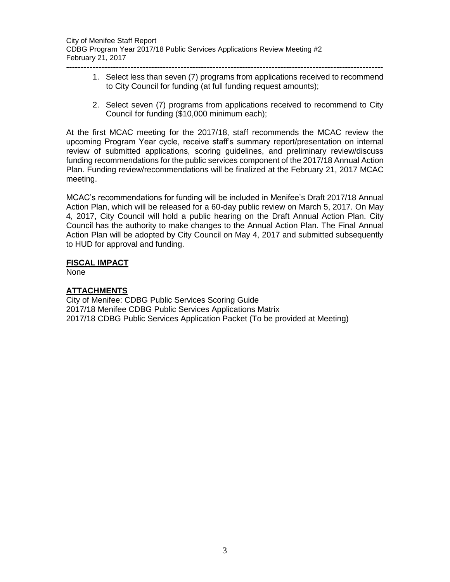- **------------------------------------------------------------------------------------------------------------** 1. Select less than seven (7) programs from applications received to recommend to City Council for funding (at full funding request amounts);
	- 2. Select seven (7) programs from applications received to recommend to City Council for funding (\$10,000 minimum each);

At the first MCAC meeting for the 2017/18, staff recommends the MCAC review the upcoming Program Year cycle, receive staff's summary report/presentation on internal review of submitted applications, scoring guidelines, and preliminary review/discuss funding recommendations for the public services component of the 2017/18 Annual Action Plan. Funding review/recommendations will be finalized at the February 21, 2017 MCAC meeting.

MCAC's recommendations for funding will be included in Menifee's Draft 2017/18 Annual Action Plan, which will be released for a 60-day public review on March 5, 2017. On May 4, 2017, City Council will hold a public hearing on the Draft Annual Action Plan. City Council has the authority to make changes to the Annual Action Plan. The Final Annual Action Plan will be adopted by City Council on May 4, 2017 and submitted subsequently to HUD for approval and funding.

## **FISCAL IMPACT**

None

## **ATTACHMENTS**

City of Menifee: CDBG Public Services Scoring Guide 2017/18 Menifee CDBG Public Services Applications Matrix 2017/18 CDBG Public Services Application Packet (To be provided at Meeting)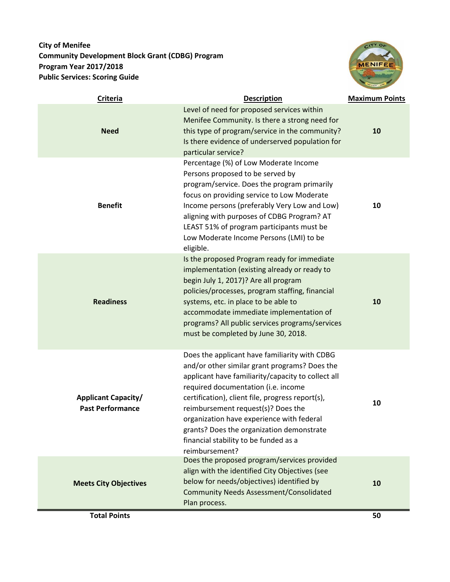## **City of Menifee Community Development Block Grant (CDBG) Program Program Year 2017/2018 Public Services: Scoring Guide**



| <b>Criteria</b>                                       | <b>Description</b>                                                                                                                                                                                                                                                                                                                                                                                                                         | <b>Maximum Points</b> |  |  |
|-------------------------------------------------------|--------------------------------------------------------------------------------------------------------------------------------------------------------------------------------------------------------------------------------------------------------------------------------------------------------------------------------------------------------------------------------------------------------------------------------------------|-----------------------|--|--|
| <b>Need</b>                                           | Level of need for proposed services within<br>Menifee Community. Is there a strong need for<br>this type of program/service in the community?<br>Is there evidence of underserved population for<br>particular service?                                                                                                                                                                                                                    | 10                    |  |  |
| <b>Benefit</b>                                        | Percentage (%) of Low Moderate Income<br>Persons proposed to be served by<br>program/service. Does the program primarily<br>focus on providing service to Low Moderate<br>Income persons (preferably Very Low and Low)<br>aligning with purposes of CDBG Program? AT<br>LEAST 51% of program participants must be<br>Low Moderate Income Persons (LMI) to be<br>eligible.                                                                  | 10                    |  |  |
| <b>Readiness</b>                                      | Is the proposed Program ready for immediate<br>implementation (existing already or ready to<br>begin July 1, 2017)? Are all program<br>policies/processes, program staffing, financial<br>systems, etc. in place to be able to<br>accommodate immediate implementation of<br>programs? All public services programs/services<br>must be completed by June 30, 2018.                                                                        | 10                    |  |  |
| <b>Applicant Capacity/</b><br><b>Past Performance</b> | Does the applicant have familiarity with CDBG<br>and/or other similar grant programs? Does the<br>applicant have familiarity/capacity to collect all<br>required documentation (i.e. income<br>certification), client file, progress report(s),<br>reimbursement request(s)? Does the<br>organization have experience with federal<br>grants? Does the organization demonstrate<br>financial stability to be funded as a<br>reimbursement? | 10                    |  |  |
| <b>Meets City Objectives</b>                          | Does the proposed program/services provided<br>align with the identified City Objectives (see<br>below for needs/objectives) identified by<br><b>Community Needs Assessment/Consolidated</b><br>Plan process.                                                                                                                                                                                                                              | 10                    |  |  |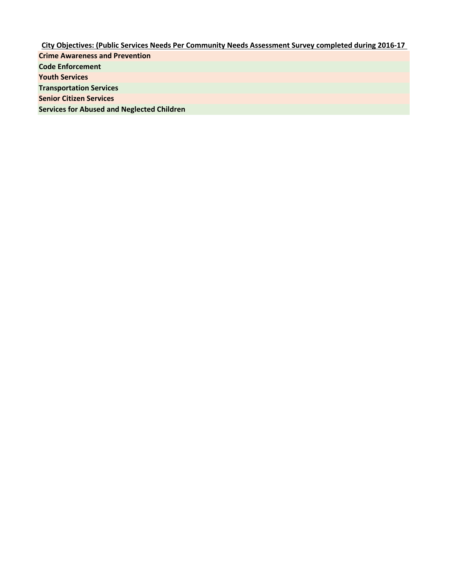**City Objectives: (Public Services Needs Per Community Needs Assessment Survey completed during 2016-17** 

**Crime Awareness and Prevention Code Enforcement Youth Services Transportation Services Senior Citizen Services Services for Abused and Neglected Children**